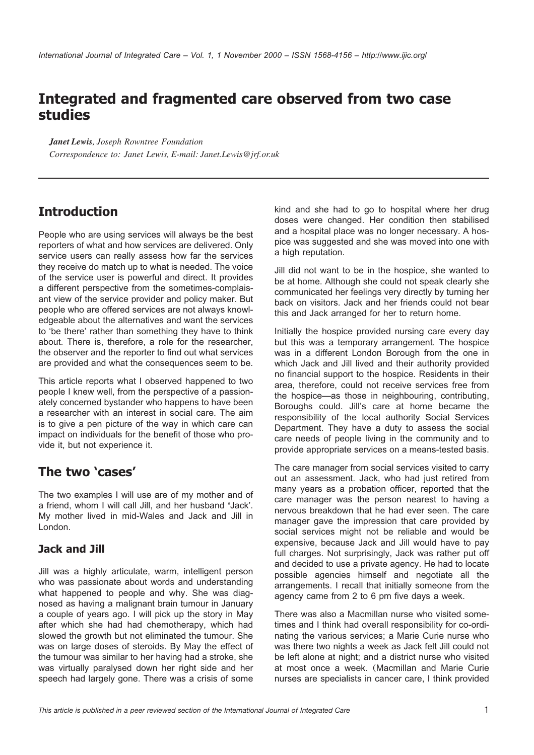# **Integrated and fragmented care observed from two case studies**

*Janet Lewis, Joseph Rowntree Foundation Correspondence to: Janet Lewis, E-mail: Janet.Lewis@jrf.or.uk*

# **Introduction**

People who are using services will always be the best reporters of what and how services are delivered. Only service users can really assess how far the services they receive do match up to what is needed. The voice of the service user is powerful and direct. It provides a different perspective from the sometimes-complaisant view of the service provider and policy maker. But people who are offered services are not always knowledgeable about the alternatives and want the services to 'be there' rather than something they have to think about. There is, therefore, a role for the researcher, the observer and the reporter to find out what services are provided and what the consequences seem to be.

This article reports what I observed happened to two people I knew well, from the perspective of a passionately concerned bystander who happens to have been a researcher with an interest in social care. The aim is to give a pen picture of the way in which care can impact on individuals for the benefit of those who provide it, but not experience it.

### **The two 'cases'**

The two examples I will use are of my mother and of a friend, whom I will call Jill, and her husband **'**Jack'. My mother lived in mid-Wales and Jack and Jill in London.

### **Jack and Jill**

Jill was a highly articulate, warm, intelligent person who was passionate about words and understanding what happened to people and why. She was diagnosed as having a malignant brain tumour in January a couple of years ago. I will pick up the story in May after which she had had chemotherapy, which had slowed the growth but not eliminated the tumour. She was on large doses of steroids. By May the effect of the tumour was similar to her having had a stroke, she was virtually paralysed down her right side and her speech had largely gone. There was a crisis of some kind and she had to go to hospital where her drug doses were changed. Her condition then stabilised and a hospital place was no longer necessary. A hospice was suggested and she was moved into one with a high reputation.

Jill did not want to be in the hospice, she wanted to be at home. Although she could not speak clearly she communicated her feelings very directly by turning her back on visitors. Jack and her friends could not bear this and Jack arranged for her to return home.

Initially the hospice provided nursing care every day but this was a temporary arrangement. The hospice was in a different London Borough from the one in which Jack and Jill lived and their authority provided no financial support to the hospice. Residents in their area, therefore, could not receive services free from the hospice—as those in neighbouring, contributing, Boroughs could. Jill's care at home became the responsibility of the local authority Social Services Department. They have a duty to assess the social care needs of people living in the community and to provide appropriate services on a means-tested basis.

The care manager from social services visited to carry out an assessment. Jack, who had just retired from many years as a probation officer, reported that the care manager was the person nearest to having a nervous breakdown that he had ever seen. The care manager gave the impression that care provided by social services might not be reliable and would be expensive, because Jack and Jill would have to pay full charges. Not surprisingly, Jack was rather put off and decided to use a private agency. He had to locate possible agencies himself and negotiate all the arrangements. I recall that initially someone from the agency came from 2 to 6 pm five days a week.

There was also a Macmillan nurse who visited sometimes and I think had overall responsibility for co-ordinating the various services; a Marie Curie nurse who was there two nights a week as Jack felt Jill could not be left alone at night; and a district nurse who visited at most once a week. (Macmillan and Marie Curie nurses are specialists in cancer care, I think provided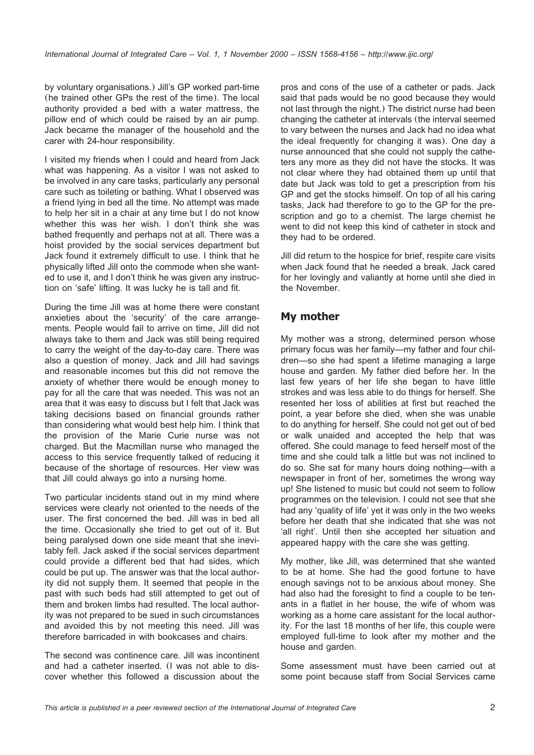by voluntary organisations.) Jill's GP worked part-time (he trained other GPs the rest of the time). The local authority provided a bed with a water mattress, the pillow end of which could be raised by an air pump. Jack became the manager of the household and the carer with 24-hour responsibility.

I visited my friends when I could and heard from Jack what was happening. As a visitor I was not asked to be involved in any care tasks, particularly any personal care such as toileting or bathing. What I observed was a friend lying in bed all the time. No attempt was made to help her sit in a chair at any time but I do not know whether this was her wish. I don't think she was bathed frequently and perhaps not at all. There was a hoist provided by the social services department but Jack found it extremely difficult to use. I think that he physically lifted Jill onto the commode when she wanted to use it, and I don't think he was given any instruction on 'safe' lifting. It was lucky he is tall and fit.

During the time Jill was at home there were constant anxieties about the 'security' of the care arrangements. People would fail to arrive on time, Jill did not always take to them and Jack was still being required to carry the weight of the day-to-day care. There was also a question of money. Jack and Jill had savings and reasonable incomes but this did not remove the anxiety of whether there would be enough money to pay for all the care that was needed. This was not an area that it was easy to discuss but I felt that Jack was taking decisions based on financial grounds rather than considering what would best help him. I think that the provision of the Marie Curie nurse was not charged. But the Macmillan nurse who managed the access to this service frequently talked of reducing it because of the shortage of resources. Her view was that Jill could always go into a nursing home.

Two particular incidents stand out in my mind where services were clearly not oriented to the needs of the user. The first concerned the bed. Jill was in bed all the time. Occasionally she tried to get out of it. But being paralysed down one side meant that she inevitably fell. Jack asked if the social services department could provide a different bed that had sides, which could be put up. The answer was that the local authority did not supply them. It seemed that people in the past with such beds had still attempted to get out of them and broken limbs had resulted. The local authority was not prepared to be sued in such circumstances and avoided this by not meeting this need. Jill was therefore barricaded in with bookcases and chairs.

The second was continence care. Jill was incontinent and had a catheter inserted. (I was not able to discover whether this followed a discussion about the

pros and cons of the use of a catheter or pads. Jack said that pads would be no good because they would not last through the night.) The district nurse had been changing the catheter at intervals (the interval seemed to vary between the nurses and Jack had no idea what the ideal frequently for changing it was). One day a nurse announced that she could not supply the catheters any more as they did not have the stocks. It was not clear where they had obtained them up until that date but Jack was told to get a prescription from his GP and get the stocks himself. On top of all his caring tasks, Jack had therefore to go to the GP for the prescription and go to a chemist. The large chemist he went to did not keep this kind of catheter in stock and they had to be ordered.

Jill did return to the hospice for brief, respite care visits when Jack found that he needed a break. Jack cared for her lovingly and valiantly at home until she died in the November.

#### **My mother**

My mother was a strong, determined person whose primary focus was her family—my father and four children—so she had spent a lifetime managing a large house and garden. My father died before her. In the last few years of her life she began to have little strokes and was less able to do things for herself. She resented her loss of abilities at first but reached the point, a year before she died, when she was unable to do anything for herself. She could not get out of bed or walk unaided and accepted the help that was offered. She could manage to feed herself most of the time and she could talk a little but was not inclined to do so. She sat for many hours doing nothing—with a newspaper in front of her, sometimes the wrong way up! She listened to music but could not seem to follow programmes on the television. I could not see that she had any 'quality of life' yet it was only in the two weeks before her death that she indicated that she was not 'all right'. Until then she accepted her situation and appeared happy with the care she was getting.

My mother, like Jill, was determined that she wanted to be at home. She had the good fortune to have enough savings not to be anxious about money. She had also had the foresight to find a couple to be tenants in a flatlet in her house, the wife of whom was working as a home care assistant for the local authority. For the last 18 months of her life, this couple were employed full-time to look after my mother and the house and garden.

Some assessment must have been carried out at some point because staff from Social Services came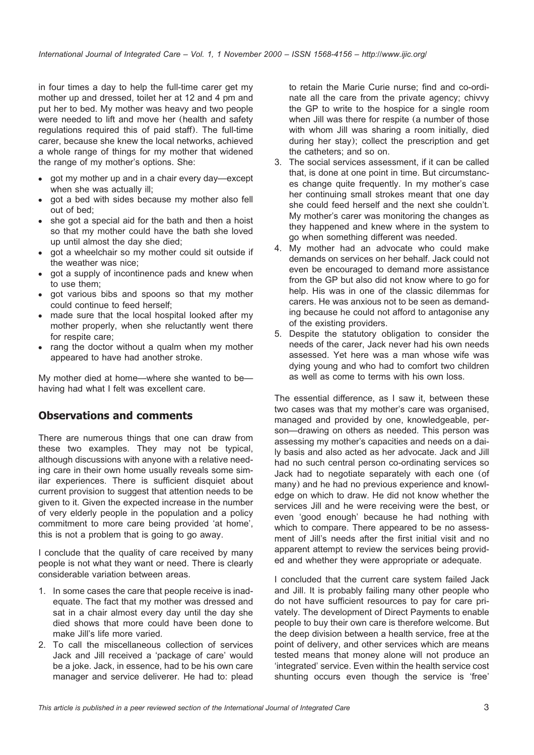in four times a day to help the full-time carer get my mother up and dressed, toilet her at 12 and 4 pm and put her to bed. My mother was heavy and two people were needed to lift and move her (health and safety regulations required this of paid staff). The full-time carer, because she knew the local networks, achieved a whole range of things for my mother that widened the range of my mother's options. She:

- got my mother up and in a chair every day—except when she was actually ill:
- got a bed with sides because my mother also fell out of bed;
- she got a special aid for the bath and then a hoist so that my mother could have the bath she loved up until almost the day she died;
- got a wheelchair so my mother could sit outside if the weather was nice;
- got a supply of incontinence pads and knew when to use them;
- got various bibs and spoons so that my mother could continue to feed herself;
- made sure that the local hospital looked after my mother properly, when she reluctantly went there for respite care;
- rang the doctor without a qualm when my mother appeared to have had another stroke.

My mother died at home—where she wanted to be having had what I felt was excellent care.

#### **Observations and comments**

There are numerous things that one can draw from these two examples. They may not be typical, although discussions with anyone with a relative needing care in their own home usually reveals some similar experiences. There is sufficient disquiet about current provision to suggest that attention needs to be given to it. Given the expected increase in the number of very elderly people in the population and a policy commitment to more care being provided 'at home', this is not a problem that is going to go away.

I conclude that the quality of care received by many people is not what they want or need. There is clearly considerable variation between areas.

- 1. In some cases the care that people receive is inadequate. The fact that my mother was dressed and sat in a chair almost every day until the day she died shows that more could have been done to make Jill's life more varied.
- 2. To call the miscellaneous collection of services Jack and Jill received a 'package of care' would be a joke. Jack, in essence, had to be his own care manager and service deliverer. He had to: plead

to retain the Marie Curie nurse; find and co-ordinate all the care from the private agency; chivvy the GP to write to the hospice for a single room when Jill was there for respite (a number of those with whom Jill was sharing a room initially, died during her stay); collect the prescription and get the catheters; and so on.

- 3. The social services assessment, if it can be called that, is done at one point in time. But circumstances change quite frequently. In my mother's case her continuing small strokes meant that one day she could feed herself and the next she couldn't. My mother's carer was monitoring the changes as they happened and knew where in the system to go when something different was needed.
- 4. My mother had an advocate who could make demands on services on her behalf. Jack could not even be encouraged to demand more assistance from the GP but also did not know where to go for help. His was in one of the classic dilemmas for carers. He was anxious not to be seen as demanding because he could not afford to antagonise any of the existing providers.
- 5. Despite the statutory obligation to consider the needs of the carer, Jack never had his own needs assessed. Yet here was a man whose wife was dying young and who had to comfort two children as well as come to terms with his own loss.

The essential difference, as I saw it, between these two cases was that my mother's care was organised, managed and provided by one, knowledgeable, person—drawing on others as needed. This person was assessing my mother's capacities and needs on a daily basis and also acted as her advocate. Jack and Jill had no such central person co-ordinating services so Jack had to negotiate separately with each one (of many) and he had no previous experience and knowledge on which to draw. He did not know whether the services Jill and he were receiving were the best, or even 'good enough' because he had nothing with which to compare. There appeared to be no assessment of Jill's needs after the first initial visit and no apparent attempt to review the services being provided and whether they were appropriate or adequate.

I concluded that the current care system failed Jack and Jill. It is probably failing many other people who do not have sufficient resources to pay for care privately. The development of Direct Payments to enable people to buy their own care is therefore welcome. But the deep division between a health service, free at the point of delivery, and other services which are means tested means that money alone will not produce an 'integrated' service. Even within the health service cost shunting occurs even though the service is 'free'